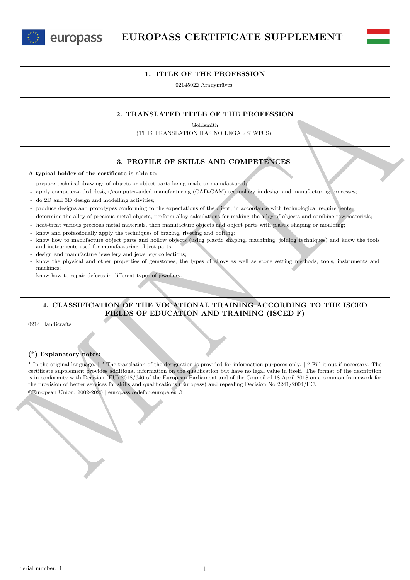europass



### **1. TITLE OF THE PROFESSION**

02145022 Aranyműves

## **2. TRANSLATED TITLE OF THE PROFESSION**

Goldsmith

(THIS TRANSLATION HAS NO LEGAL STATUS)

## **3. PROFILE OF SKILLS AND COMPETENCES**

**A typical holder of the certificate is able to:**

- prepare technical drawings of objects or object parts being made or manufactured;
- apply computer-aided design/computer-aided manufacturing (CAD-CAM) technology in design and manufacturing processes;
- do 2D and 3D design and modelling activities;
- produce designs and prototypes conforming to the expectations of the client, in accordance with technological requirements;
- determine the alloy of precious metal objects, perform alloy calculations for making the alloy of objects and combine raw materials;
- heat-treat various precious metal materials, then manufacture objects and object parts with plastic shaping or moulding;
- know and professionally apply the techniques of brazing, riveting and bolting;
- know how to manufacture object parts and hollow objects (using plastic shaping, machining, joining techniques) and know the tools and instruments used for manufacturing object parts;
- design and manufacture jewellery and jewellery collections;
- know the physical and other properties of gemstones, the types of alloys as well as stone setting methods, tools, instruments and machines;
- know how to repair defects in different types of jewellery.

# **4. CLASSIFICATION OF THE VOCATIONAL TRAINING ACCORDING TO THE ISCED FIELDS OF EDUCATION AND TRAINING (ISCED-F)**

0214 Handicrafts

#### **(\*) Explanatory notes:**

2. TRANSLATED TITLE OF THE PROFESSION<br>
(THIS TRANSLATED TITLE OF THE PROFESSION<br>
(THIS TRANSLATED TITLE OF THE PROFESSION<br>
4. SUPPREMENTATION AND COMPREENCES<br>
A typical holder of the certain is a lot of the certain of the <sup>1</sup> In the original language.  $\binom{2}{1}$  The translation of the designation is provided for information purposes only.  $\binom{3}{1}$  Fill it out if necessary. The certificate supplement provides additional information on the qualification but have no legal value in itself. The format of the description is in conformity with Decision (EU) 2018/646 of the European Parliament and of the Council of 18 April 2018 on a common framework for the provision of better services for skills and qualifications (Europass) and repealing Decision No 2241/2004/EC. ©European Union, 2002-2020 | europass.cedefop.europa.eu ©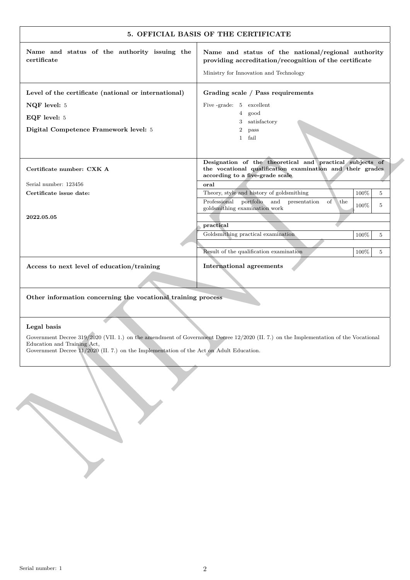| Name and status of the authority issuing the<br>certificate                                                            | Name and status of the national/regional authority<br>providing accreditation/recognition of the certificate                                             |
|------------------------------------------------------------------------------------------------------------------------|----------------------------------------------------------------------------------------------------------------------------------------------------------|
|                                                                                                                        | Ministry for Innovation and Technology                                                                                                                   |
| Level of the certificate (national or international)                                                                   | Grading scale / Pass requirements                                                                                                                        |
| NQF level: 5                                                                                                           | Five -grade: 5 excellent                                                                                                                                 |
| EQF level: 5                                                                                                           | $\overline{4}$<br>good<br>3 <sup>1</sup><br>satisfactory                                                                                                 |
| Digital Competence Framework level: 5                                                                                  | $\boldsymbol{2}$<br>pass                                                                                                                                 |
|                                                                                                                        | fail<br>$\mathbf{1}$                                                                                                                                     |
| Certificate number: CXK A                                                                                              | Designation of the theoretical and practical subjects of<br>the vocational qualification examination and their grades<br>according to a five-grade scale |
| Serial number: 123456                                                                                                  | $_{\rm oral}$                                                                                                                                            |
| Certificate issue date:                                                                                                | Theory, style and history of goldsmithing<br>100%<br>5                                                                                                   |
|                                                                                                                        | Professional portfolio<br>and<br>presentation<br>of<br>the<br>100%<br>5<br>goldsmithing examination work                                                 |
| 2022.05.05                                                                                                             |                                                                                                                                                          |
|                                                                                                                        | practical<br>Goldsmithing practical examination<br>100%<br>5                                                                                             |
|                                                                                                                        |                                                                                                                                                          |
|                                                                                                                        | Result of the qualification examination<br>100%<br>5                                                                                                     |
| Access to next level of education/training                                                                             | <b>International agreements</b>                                                                                                                          |
| Other information concerning the vocational training process                                                           |                                                                                                                                                          |
| Legal basis                                                                                                            |                                                                                                                                                          |
| Education and Training Act,<br>Government Decree 11/2020 (II. 7.) on the Implementation of the Act on Adult Education. | Government Decree 319/2020 (VII. 1.) on the amendment of Government Decree 12/2020 (II. 7.) on the Implementation of the Vocational                      |
|                                                                                                                        |                                                                                                                                                          |
|                                                                                                                        |                                                                                                                                                          |
|                                                                                                                        |                                                                                                                                                          |